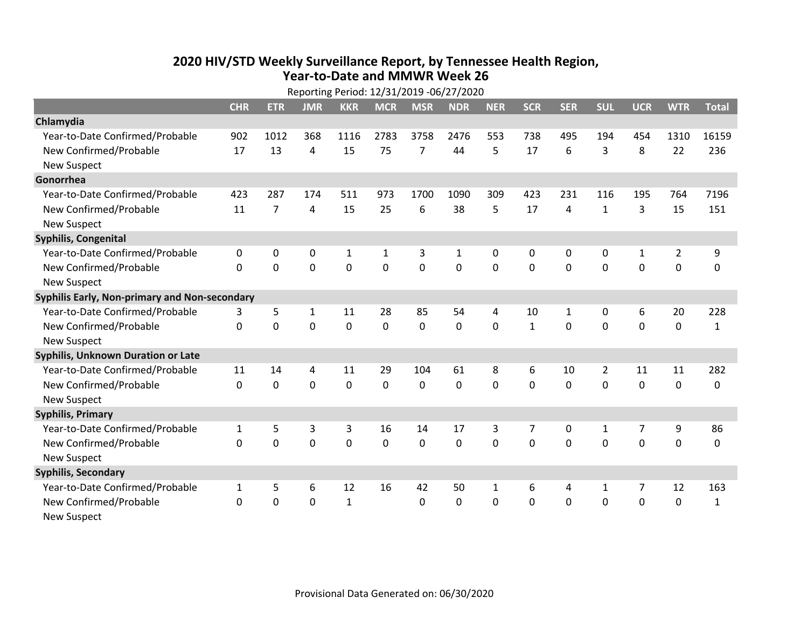## **2020 HIV /STD Weekly Surveillance Report, by Tennessee Health Region, Year‐to‐Date and MMWR Week 26** Reporting Period: 12/31/2019 ‐06/27/2020

|                                               | Reporting Period: 12/31/2019 -06/27/2020 |                |              |              |              |                |              |              |              |              |                |              |                |              |
|-----------------------------------------------|------------------------------------------|----------------|--------------|--------------|--------------|----------------|--------------|--------------|--------------|--------------|----------------|--------------|----------------|--------------|
|                                               | <b>CHR</b>                               | <b>ETR</b>     | <b>JMR</b>   | <b>KKR</b>   | <b>MCR</b>   | <b>MSR</b>     | <b>NDR</b>   | <b>NER</b>   | <b>SCR</b>   | <b>SER</b>   | <b>SUL</b>     | <b>UCR</b>   | <b>WTR</b>     | <b>Total</b> |
| Chlamydia                                     |                                          |                |              |              |              |                |              |              |              |              |                |              |                |              |
| Year-to-Date Confirmed/Probable               | 902                                      | 1012           | 368          | 1116         | 2783         | 3758           | 2476         | 553          | 738          | 495          | 194            | 454          | 1310           | 16159        |
| New Confirmed/Probable                        | 17                                       | 13             | 4            | 15           | 75           | $\overline{7}$ | 44           | 5            | 17           | 6            | 3              | 8            | 22             | 236          |
| <b>New Suspect</b>                            |                                          |                |              |              |              |                |              |              |              |              |                |              |                |              |
| Gonorrhea                                     |                                          |                |              |              |              |                |              |              |              |              |                |              |                |              |
| Year-to-Date Confirmed/Probable               | 423                                      | 287            | 174          | 511          | 973          | 1700           | 1090         | 309          | 423          | 231          | 116            | 195          | 764            | 7196         |
| New Confirmed/Probable                        | 11                                       | $\overline{7}$ | 4            | 15           | 25           | 6              | 38           | 5            | 17           | 4            | $\mathbf{1}$   | 3            | 15             | 151          |
| <b>New Suspect</b>                            |                                          |                |              |              |              |                |              |              |              |              |                |              |                |              |
| <b>Syphilis, Congenital</b>                   |                                          |                |              |              |              |                |              |              |              |              |                |              |                |              |
| Year-to-Date Confirmed/Probable               | 0                                        | 0              | 0            | $\mathbf 1$  | $\mathbf{1}$ | 3              | $\mathbf{1}$ | $\mathbf{0}$ | 0            | $\mathbf{0}$ | 0              | $\mathbf{1}$ | $\overline{2}$ | 9            |
| New Confirmed/Probable                        | $\Omega$                                 | $\mathbf 0$    | 0            | 0            | $\mathbf 0$  | $\mathbf 0$    | 0            | $\Omega$     | $\Omega$     | $\mathbf 0$  | 0              | 0            | $\mathbf 0$    | 0            |
| <b>New Suspect</b>                            |                                          |                |              |              |              |                |              |              |              |              |                |              |                |              |
| Syphilis Early, Non-primary and Non-secondary |                                          |                |              |              |              |                |              |              |              |              |                |              |                |              |
| Year-to-Date Confirmed/Probable               | 3                                        | 5              | $\mathbf{1}$ | 11           | 28           | 85             | 54           | 4            | 10           | $\mathbf{1}$ | 0              | 6            | 20             | 228          |
| New Confirmed/Probable                        | 0                                        | $\mathbf 0$    | 0            | 0            | $\mathbf 0$  | $\mathbf 0$    | $\Omega$     | $\Omega$     | $\mathbf{1}$ | $\mathbf{0}$ | $\mathbf 0$    | $\mathbf 0$  | $\mathbf 0$    | $\mathbf{1}$ |
| <b>New Suspect</b>                            |                                          |                |              |              |              |                |              |              |              |              |                |              |                |              |
| <b>Syphilis, Unknown Duration or Late</b>     |                                          |                |              |              |              |                |              |              |              |              |                |              |                |              |
| Year-to-Date Confirmed/Probable               | 11                                       | 14             | 4            | 11           | 29           | 104            | 61           | 8            | 6            | 10           | $\overline{2}$ | 11           | 11             | 282          |
| New Confirmed/Probable                        | 0                                        | 0              | $\mathbf 0$  | 0            | 0            | 0              | $\Omega$     | $\Omega$     | $\Omega$     | $\Omega$     | $\Omega$       | $\mathbf 0$  | $\mathbf 0$    | 0            |
| New Suspect                                   |                                          |                |              |              |              |                |              |              |              |              |                |              |                |              |
| <b>Syphilis, Primary</b>                      |                                          |                |              |              |              |                |              |              |              |              |                |              |                |              |
| Year-to-Date Confirmed/Probable               | $\mathbf{1}$                             | 5              | 3            | 3            | 16           | 14             | 17           | 3            | 7            | $\mathbf{0}$ | $\mathbf{1}$   | 7            | 9              | 86           |
| New Confirmed/Probable                        | 0                                        | $\mathbf 0$    | 0            | 0            | $\mathbf 0$  | $\mathbf 0$    | 0            | $\Omega$     | $\Omega$     | $\Omega$     | 0              | $\mathbf 0$  | $\mathbf 0$    | $\mathbf 0$  |
| <b>New Suspect</b>                            |                                          |                |              |              |              |                |              |              |              |              |                |              |                |              |
| <b>Syphilis, Secondary</b>                    |                                          |                |              |              |              |                |              |              |              |              |                |              |                |              |
| Year-to-Date Confirmed/Probable               | $\mathbf{1}$                             | 5              | 6            | 12           | 16           | 42             | 50           | $\mathbf{1}$ | 6            | 4            | 1              | 7            | 12             | 163          |
| New Confirmed/Probable                        | $\Omega$                                 | 0              | 0            | $\mathbf{1}$ |              | 0              | 0            | 0            | $\Omega$     | $\mathbf 0$  | 0              | 0            | $\mathbf 0$    | $\mathbf{1}$ |
| <b>New Suspect</b>                            |                                          |                |              |              |              |                |              |              |              |              |                |              |                |              |